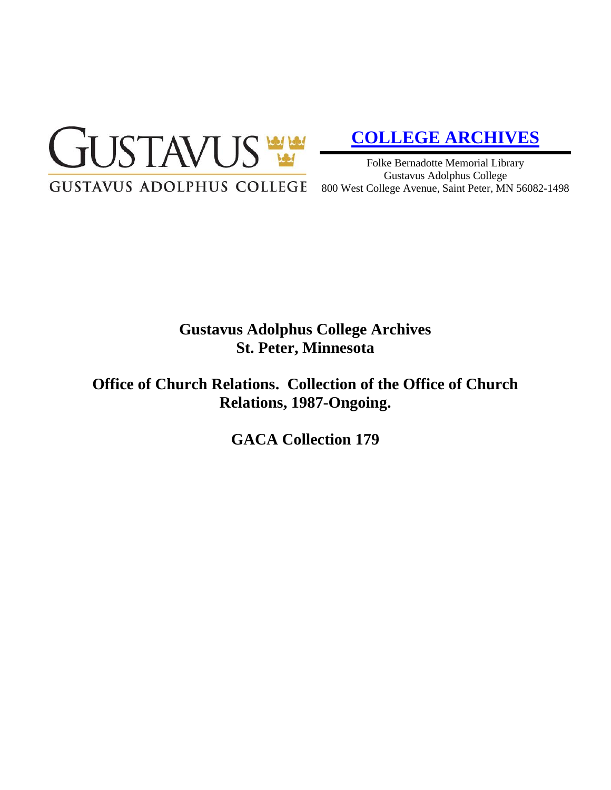

# **[COLLEGE ARCHIVES](http://gustavus.edu/academics/library/archives/)**

Folke Bernadotte Memorial Library Gustavus Adolphus College 800 West College Avenue, Saint Peter, MN 56082-1498

# **Gustavus Adolphus College Archives St. Peter, Minnesota**

**Office of Church Relations. Collection of the Office of Church Relations, 1987-Ongoing.**

**GACA Collection 179**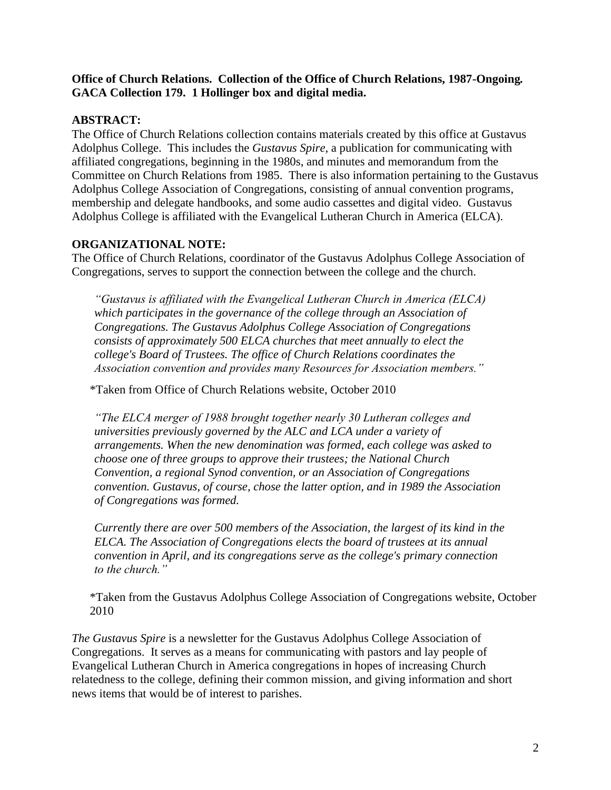#### **Office of Church Relations. Collection of the Office of Church Relations, 1987-Ongoing***.* **GACA Collection 179. 1 Hollinger box and digital media.**

# **ABSTRACT:**

The Office of Church Relations collection contains materials created by this office at Gustavus Adolphus College. This includes the *Gustavus Spire*, a publication for communicating with affiliated congregations, beginning in the 1980s, and minutes and memorandum from the Committee on Church Relations from 1985. There is also information pertaining to the Gustavus Adolphus College Association of Congregations, consisting of annual convention programs, membership and delegate handbooks, and some audio cassettes and digital video. Gustavus Adolphus College is affiliated with the Evangelical Lutheran Church in America (ELCA).

# **ORGANIZATIONAL NOTE:**

The Office of Church Relations, coordinator of the Gustavus Adolphus College Association of Congregations, serves to support the connection between the college and the church.

*"Gustavus is affiliated with the Evangelical Lutheran Church in America (ELCA) which participates in the governance of the college through an Association of Congregations. The Gustavus Adolphus College Association of Congregations consists of approximately 500 ELCA churches that meet annually to elect the college's Board of Trustees. The office of Church Relations coordinates the Association convention and provides many Resources for Association members."*

\*Taken from Office of Church Relations website, October 2010

*"The ELCA merger of 1988 brought together nearly 30 Lutheran colleges and universities previously governed by the ALC and LCA under a variety of arrangements. When the new denomination was formed, each college was asked to choose one of three groups to approve their trustees; the National Church Convention, a regional Synod convention, or an Association of Congregations convention. Gustavus, of course, chose the latter option, and in 1989 the Association of Congregations was formed.*

*Currently there are over 500 members of the Association, the largest of its kind in the ELCA. The Association of Congregations elects the board of trustees at its annual convention in April, and its congregations serve as the college's primary connection to the church."*

\*Taken from the Gustavus Adolphus College Association of Congregations website, October 2010

*The Gustavus Spire* is a newsletter for the Gustavus Adolphus College Association of Congregations. It serves as a means for communicating with pastors and lay people of Evangelical Lutheran Church in America congregations in hopes of increasing Church relatedness to the college, defining their common mission, and giving information and short news items that would be of interest to parishes.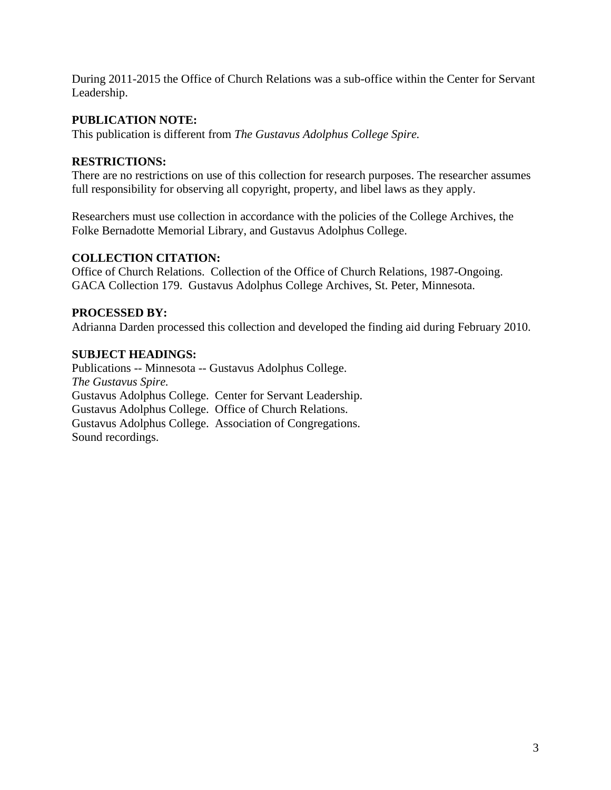During 2011-2015 the Office of Church Relations was a sub-office within the Center for Servant Leadership.

# **PUBLICATION NOTE:**

This publication is different from *The Gustavus Adolphus College Spire.*

#### **RESTRICTIONS:**

There are no restrictions on use of this collection for research purposes. The researcher assumes full responsibility for observing all copyright, property, and libel laws as they apply.

Researchers must use collection in accordance with the policies of the College Archives, the Folke Bernadotte Memorial Library, and Gustavus Adolphus College.

# **COLLECTION CITATION:**

Office of Church Relations. Collection of the Office of Church Relations, 1987-Ongoing. GACA Collection 179. Gustavus Adolphus College Archives, St. Peter, Minnesota.

#### **PROCESSED BY:**

Adrianna Darden processed this collection and developed the finding aid during February 2010.

#### **SUBJECT HEADINGS:**

Publications -- Minnesota -- Gustavus Adolphus College. *The Gustavus Spire.* Gustavus Adolphus College. Center for Servant Leadership. Gustavus Adolphus College. Office of Church Relations. Gustavus Adolphus College. Association of Congregations. Sound recordings.